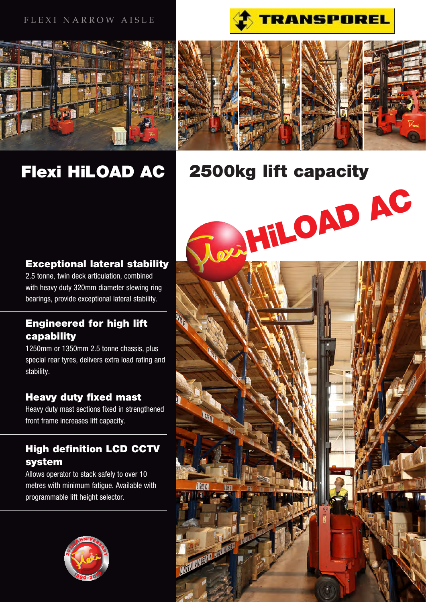# FLEXI NARROW AISLE





# Flexi HiLOAD AC



# 2500kg lift capacity

# Exceptional lateral stability

2.5 tonne, twin deck articulation, combined with heavy duty 320mm diameter slewing ring bearings, provide exceptional lateral stability.

# Engineered for high lift capability

1250mm or 1350mm 2.5 tonne chassis, plus special rear tyres, delivers extra load rating and stability.

# Heavy duty fixed mast

Heavy duty mast sections fixed in strengthened front frame increases lift capacity.

# High definition LCD CCTV system

Allows operator to stack safely to over 10 metres with minimum fatigue. Available with programmable lift height selector.